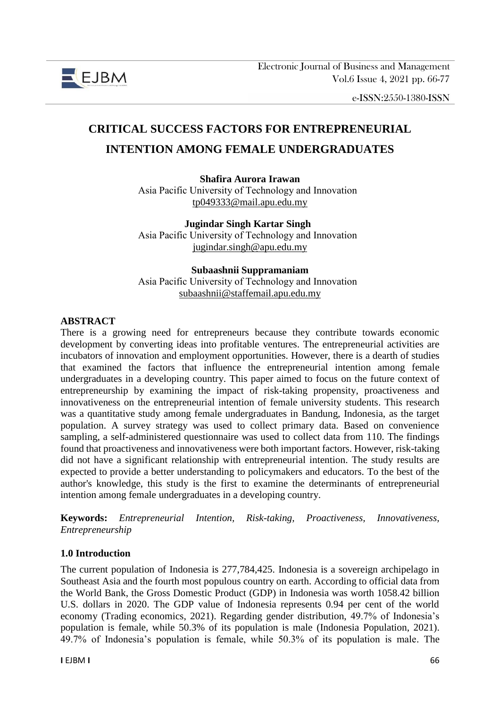

e-ISSN:2550-1380-ISSN

# **CRITICAL SUCCESS FACTORS FOR ENTREPRENEURIAL INTENTION AMONG FEMALE UNDERGRADUATES**

## **Shafira Aurora Irawan**

Asia Pacific University of Technology and Innovation  [tp049333@mail.apu.edu.my](mailto:tp049333@mail.apu.edu.my)

**Jugindar Singh Kartar Singh** Asia Pacific University of Technology and Innovation  [jugindar.singh@apu.edu.my](mailto:jugindar.singh@apu.edu.my)

#### **Subaashnii Suppramaniam**

Asia Pacific University of Technology and Innovation  [subaashnii@staffemail.apu.edu.my](mailto:subaashnii@staffemail.apu.edu.my)

#### **ABSTRACT**

There is a growing need for entrepreneurs because they contribute towards economic development by converting ideas into profitable ventures. The entrepreneurial activities are incubators of innovation and employment opportunities. However, there is a dearth of studies that examined the factors that influence the entrepreneurial intention among female undergraduates in a developing country. This paper aimed to focus on the future context of entrepreneurship by examining the impact of risk-taking propensity, proactiveness and innovativeness on the entrepreneurial intention of female university students. This research was a quantitative study among female undergraduates in Bandung, Indonesia, as the target population. A survey strategy was used to collect primary data. Based on convenience sampling, a self-administered questionnaire was used to collect data from 110. The findings found that proactiveness and innovativeness were both important factors. However, risk-taking did not have a significant relationship with entrepreneurial intention. The study results are expected to provide a better understanding to policymakers and educators. To the best of the author's knowledge, this study is the first to examine the determinants of entrepreneurial intention among female undergraduates in a developing country.

**Keywords:** *Entrepreneurial Intention, Risk-taking, Proactiveness, Innovativeness, Entrepreneurship*

#### **1.0 Introduction**

The current population of Indonesia is 277,784,425. Indonesia is a sovereign archipelago in Southeast Asia and the fourth most populous country on earth. According to official data from the World Bank, the Gross Domestic Product (GDP) in Indonesia was worth 1058.42 billion U.S. dollars in 2020. The GDP value of Indonesia represents 0.94 per cent of the world economy (Trading economics, 2021). Regarding gender distribution, 49.7% of Indonesia's population is female, while 50.3% of its population is male (Indonesia Population, 2021). 49.7% of Indonesia's population is female, while 50.3% of its population is male. The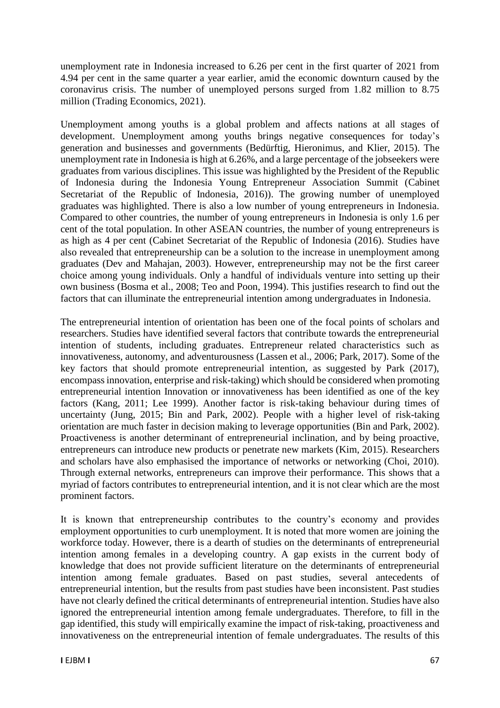unemployment rate in Indonesia increased to 6.26 per cent in the first quarter of 2021 from 4.94 per cent in the same quarter a year earlier, amid the economic downturn caused by the coronavirus crisis. The number of unemployed persons surged from 1.82 million to 8.75 million (Trading Economics, 2021).

Unemployment among youths is a global problem and affects nations at all stages of development. Unemployment among youths brings negative consequences for today's generation and businesses and governments (Bedürftig, Hieronimus, and Klier, 2015). The unemployment rate in Indonesia is high at 6.26%, and a large percentage of the jobseekers were graduates from various disciplines. This issue was highlighted by the President of the Republic of Indonesia during the Indonesia Young Entrepreneur Association Summit (Cabinet Secretariat of the Republic of Indonesia, 2016)). The growing number of unemployed graduates was highlighted. There is also a low number of young entrepreneurs in Indonesia. Compared to other countries, the number of young entrepreneurs in Indonesia is only 1.6 per cent of the total population. In other ASEAN countries, the number of young entrepreneurs is as high as 4 per cent (Cabinet Secretariat of the Republic of Indonesia (2016). Studies have also revealed that entrepreneurship can be a solution to the increase in unemployment among graduates (Dev and Mahajan, 2003). However, entrepreneurship may not be the first career choice among young individuals. Only a handful of individuals venture into setting up their own business (Bosma et al., 2008; Teo and Poon, 1994). This justifies research to find out the factors that can illuminate the entrepreneurial intention among undergraduates in Indonesia.

The entrepreneurial intention of orientation has been one of the focal points of scholars and researchers. Studies have identified several factors that contribute towards the entrepreneurial intention of students, including graduates. Entrepreneur related characteristics such as innovativeness, autonomy, and adventurousness (Lassen et al., 2006; Park, 2017). Some of the key factors that should promote entrepreneurial intention, as suggested by Park (2017), encompass innovation, enterprise and risk-taking) which should be considered when promoting entrepreneurial intention Innovation or innovativeness has been identified as one of the key factors (Kang, 2011; Lee 1999). Another factor is risk-taking behaviour during times of uncertainty (Jung, 2015; Bin and Park, 2002). People with a higher level of risk-taking orientation are much faster in decision making to leverage opportunities (Bin and Park, 2002). Proactiveness is another determinant of entrepreneurial inclination, and by being proactive, entrepreneurs can introduce new products or penetrate new markets (Kim, 2015). Researchers and scholars have also emphasised the importance of networks or networking (Choi, 2010). Through external networks, entrepreneurs can improve their performance. This shows that a myriad of factors contributes to entrepreneurial intention, and it is not clear which are the most prominent factors.

It is known that entrepreneurship contributes to the country's economy and provides employment opportunities to curb unemployment. It is noted that more women are joining the workforce today. However, there is a dearth of studies on the determinants of entrepreneurial intention among females in a developing country. A gap exists in the current body of knowledge that does not provide sufficient literature on the determinants of entrepreneurial intention among female graduates. Based on past studies, several antecedents of entrepreneurial intention, but the results from past studies have been inconsistent. Past studies have not clearly defined the critical determinants of entrepreneurial intention. Studies have also ignored the entrepreneurial intention among female undergraduates. Therefore, to fill in the gap identified, this study will empirically examine the impact of risk-taking, proactiveness and innovativeness on the entrepreneurial intention of female undergraduates. The results of this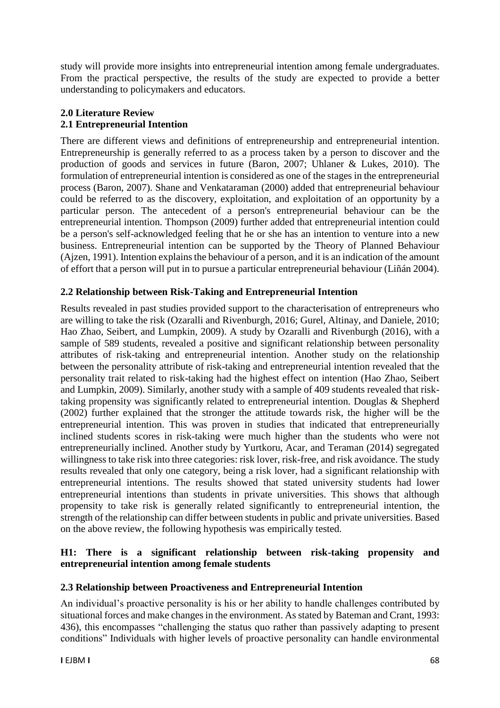study will provide more insights into entrepreneurial intention among female undergraduates. From the practical perspective, the results of the study are expected to provide a better understanding to policymakers and educators.

# **2.0 Literature Review 2.1 Entrepreneurial Intention**

There are different views and definitions of entrepreneurship and entrepreneurial intention. Entrepreneurship is generally referred to as a process taken by a person to discover and the production of goods and services in future (Baron, 2007; Uhlaner & Lukes, 2010). The formulation of entrepreneurial intention is considered as one of the stages in the entrepreneurial process (Baron, 2007). Shane and Venkataraman (2000) added that entrepreneurial behaviour could be referred to as the discovery, exploitation, and exploitation of an opportunity by a particular person. The antecedent of a person's entrepreneurial behaviour can be the entrepreneurial intention. Thompson (2009) further added that entrepreneurial intention could be a person's self-acknowledged feeling that he or she has an intention to venture into a new business. Entrepreneurial intention can be supported by the Theory of Planned Behaviour (Ajzen, 1991). Intention explains the behaviour of a person, and it is an indication of the amount of effort that a person will put in to pursue a particular entrepreneurial behaviour (Liñán 2004).

# **2.2 Relationship between Risk-Taking and Entrepreneurial Intention**

Results revealed in past studies provided support to the characterisation of entrepreneurs who are willing to take the risk (Ozaralli and Rivenburgh, 2016; Gurel, Altinay, and Daniele, 2010; Hao Zhao, Seibert, and Lumpkin, 2009). A study by Ozaralli and Rivenburgh (2016), with a sample of 589 students, revealed a positive and significant relationship between personality attributes of risk-taking and entrepreneurial intention. Another study on the relationship between the personality attribute of risk-taking and entrepreneurial intention revealed that the personality trait related to risk-taking had the highest effect on intention (Hao Zhao, Seibert and Lumpkin, 2009). Similarly, another study with a sample of 409 students revealed that risktaking propensity was significantly related to entrepreneurial intention. Douglas & Shepherd (2002) further explained that the stronger the attitude towards risk, the higher will be the entrepreneurial intention. This was proven in studies that indicated that entrepreneurially inclined students scores in risk-taking were much higher than the students who were not entrepreneurially inclined. Another study by Yurtkoru, Acar, and Teraman (2014) segregated willingness to take risk into three categories: risk lover, risk-free, and risk avoidance. The study results revealed that only one category, being a risk lover, had a significant relationship with entrepreneurial intentions. The results showed that stated university students had lower entrepreneurial intentions than students in private universities. This shows that although propensity to take risk is generally related significantly to entrepreneurial intention, the strength of the relationship can differ between students in public and private universities. Based on the above review, the following hypothesis was empirically tested.

## **H1: There is a significant relationship between risk-taking propensity and entrepreneurial intention among female students**

# **2.3 Relationship between Proactiveness and Entrepreneurial Intention**

An individual's proactive personality is his or her ability to handle challenges contributed by situational forces and make changes in the environment. As stated by Bateman and Crant, 1993: 436), this encompasses "challenging the status quo rather than passively adapting to present conditions" Individuals with higher levels of proactive personality can handle environmental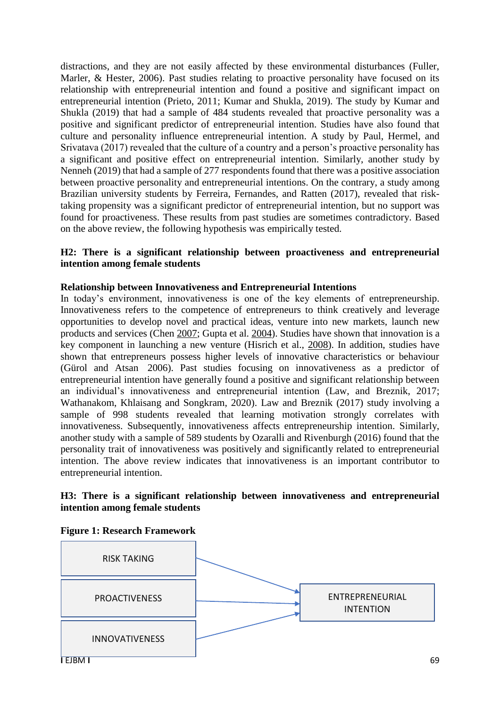distractions, and they are not easily affected by these environmental disturbances (Fuller, Marler, & Hester, 2006). Past studies relating to proactive personality have focused on its relationship with entrepreneurial intention and found a positive and significant impact on entrepreneurial intention (Prieto, 2011; Kumar and Shukla, 2019). The study by Kumar and Shukla (2019) that had a sample of 484 students revealed that proactive personality was a positive and significant predictor of entrepreneurial intention. Studies have also found that culture and personality influence entrepreneurial intention. A study by Paul, Hermel, and Srivatava (2017) revealed that the culture of a country and a person's proactive personality has a significant and positive effect on entrepreneurial intention. Similarly, another study by Nenneh (2019) that had a sample of 277 respondents found that there was a positive association between proactive personality and entrepreneurial intentions. On the contrary, a study among Brazilian university students by Ferreira, Fernandes, and Ratten (2017), revealed that risktaking propensity was a significant predictor of entrepreneurial intention, but no support was found for proactiveness. These results from past studies are sometimes contradictory. Based on the above review, the following hypothesis was empirically tested.

#### **H2: There is a significant relationship between proactiveness and entrepreneurial intention among female students**

#### **Relationship between Innovativeness and Entrepreneurial Intentions**

In today's environment, innovativeness is one of the key elements of entrepreneurship. Innovativeness refers to the competence of entrepreneurs to think creatively and leverage opportunities to develop novel and practical ideas, venture into new markets, launch new products and services (Chen [2007;](https://link.springer.com/article/10.1186/s40497-016-0047-x#ref-CR15) Gupta et al. [2004\)](https://link.springer.com/article/10.1186/s40497-016-0047-x#ref-CR32). Studies have shown that innovation is a key component in launching a new venture (Hisrich et al., [2008\)](https://link.springer.com/article/10.1186/s40497-016-0047-x#ref-CR40). In addition, studies have shown that entrepreneurs possess higher levels of innovative characteristics or behaviour (Gürol and Atsan [2006\)](https://link.springer.com/article/10.1186/s40497-016-0047-x#ref-CR35). Past studies focusing on innovativeness as a predictor of entrepreneurial intention have generally found a positive and significant relationship between an individual's innovativeness and entrepreneurial intention (Law, and Breznik, 2017; Wathanakom, Khlaisang and Songkram, 2020). Law and Breznik (2017) study involving a sample of 998 students revealed that learning motivation strongly correlates with innovativeness. Subsequently, innovativeness affects entrepreneurship intention. Similarly, another study with a sample of 589 students by Ozaralli and Rivenburgh (2016) found that the personality trait of innovativeness was positively and significantly related to entrepreneurial intention. The above review indicates that innovativeness is an important contributor to entrepreneurial intention.

#### **H3: There is a significant relationship between innovativeness and entrepreneurial intention among female students**



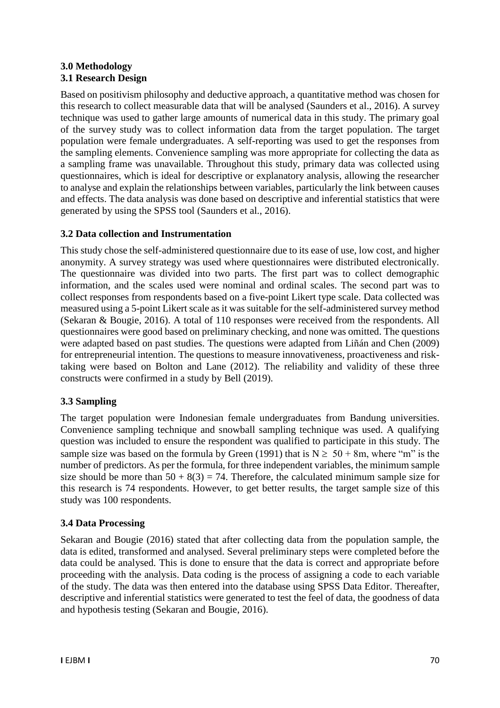#### **3.0 Methodology 3.1 Research Design**

Based on positivism philosophy and deductive approach, a quantitative method was chosen for this research to collect measurable data that will be analysed (Saunders et al., 2016). A survey technique was used to gather large amounts of numerical data in this study. The primary goal of the survey study was to collect information data from the target population. The target population were female undergraduates. A self-reporting was used to get the responses from the sampling elements. Convenience sampling was more appropriate for collecting the data as a sampling frame was unavailable. Throughout this study, primary data was collected using questionnaires, which is ideal for descriptive or explanatory analysis, allowing the researcher to analyse and explain the relationships between variables, particularly the link between causes and effects. The data analysis was done based on descriptive and inferential statistics that were generated by using the SPSS tool (Saunders et al., 2016).

## **3.2 Data collection and Instrumentation**

This study chose the self-administered questionnaire due to its ease of use, low cost, and higher anonymity. A survey strategy was used where questionnaires were distributed electronically. The questionnaire was divided into two parts. The first part was to collect demographic information, and the scales used were nominal and ordinal scales. The second part was to collect responses from respondents based on a five-point Likert type scale. Data collected was measured using a 5-point Likert scale as it was suitable for the self-administered survey method (Sekaran & Bougie, 2016). A total of 110 responses were received from the respondents. All questionnaires were good based on preliminary checking, and none was omitted. The questions were adapted based on past studies. The questions were adapted from Liñán and Chen (2009) for entrepreneurial intention. The questions to measure innovativeness, proactiveness and risktaking were based on Bolton and Lane (2012). The reliability and validity of these three constructs were confirmed in a study by Bell (2019).

# **3.3 Sampling**

The target population were Indonesian female undergraduates from Bandung universities. Convenience sampling technique and snowball sampling technique was used. A qualifying question was included to ensure the respondent was qualified to participate in this study. The sample size was based on the formula by Green (1991) that is  $N \ge 50 + 8$ m, where "m" is the number of predictors. As per the formula, for three independent variables, the minimum sample size should be more than  $50 + 8(3) = 74$ . Therefore, the calculated minimum sample size for this research is 74 respondents. However, to get better results, the target sample size of this study was 100 respondents.

#### **3.4 Data Processing**

Sekaran and Bougie (2016) stated that after collecting data from the population sample, the data is edited, transformed and analysed. Several preliminary steps were completed before the data could be analysed. This is done to ensure that the data is correct and appropriate before proceeding with the analysis. Data coding is the process of assigning a code to each variable of the study. The data was then entered into the database using SPSS Data Editor. Thereafter, descriptive and inferential statistics were generated to test the feel of data, the goodness of data and hypothesis testing (Sekaran and Bougie, 2016).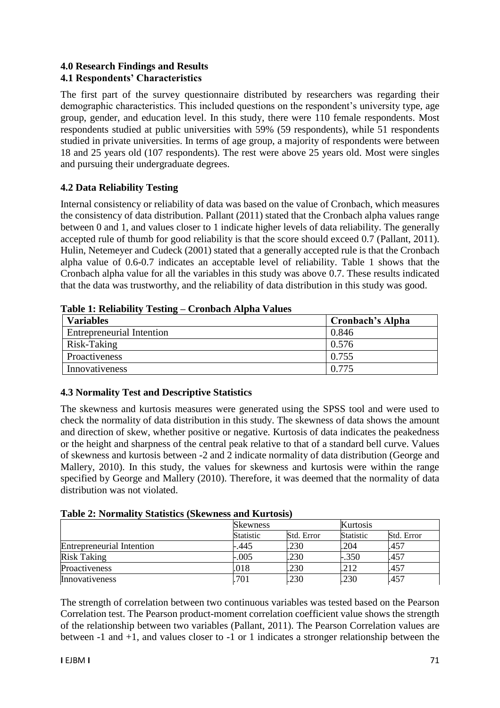#### **4.0 Research Findings and Results 4.1 Respondents' Characteristics**

The first part of the survey questionnaire distributed by researchers was regarding their demographic characteristics. This included questions on the respondent's university type, age group, gender, and education level. In this study, there were 110 female respondents. Most respondents studied at public universities with 59% (59 respondents), while 51 respondents studied in private universities. In terms of age group, a majority of respondents were between 18 and 25 years old (107 respondents). The rest were above 25 years old. Most were singles and pursuing their undergraduate degrees.

## **4.2 Data Reliability Testing**

Internal consistency or reliability of data was based on the value of Cronbach, which measures the consistency of data distribution. Pallant (2011) stated that the Cronbach alpha values range between 0 and 1, and values closer to 1 indicate higher levels of data reliability. The generally accepted rule of thumb for good reliability is that the score should exceed 0.7 (Pallant, 2011). Hulin, Netemeyer and Cudeck (2001) stated that a generally accepted rule is that the Cronbach alpha value of 0.6-0.7 indicates an acceptable level of reliability. Table 1 shows that the Cronbach alpha value for all the variables in this study was above 0.7. These results indicated that the data was trustworthy, and the reliability of data distribution in this study was good.

| Tuble 1: Kenubility Testing — Crombuch Arphu Values |                  |  |  |  |  |
|-----------------------------------------------------|------------------|--|--|--|--|
| <b>Variables</b>                                    | Cronbach's Alpha |  |  |  |  |
| <b>Entrepreneurial Intention</b>                    | 0.846            |  |  |  |  |
| Risk-Taking                                         | 0.576            |  |  |  |  |
| Proactiveness                                       | 0.755            |  |  |  |  |
| Innovativeness                                      | 0.775            |  |  |  |  |

**Table 1: Reliability Testing – Cronbach Alpha Values**

# **4.3 Normality Test and Descriptive Statistics**

The skewness and kurtosis measures were generated using the SPSS tool and were used to check the normality of data distribution in this study. The skewness of data shows the amount and direction of skew, whether positive or negative. Kurtosis of data indicates the peakedness or the height and sharpness of the central peak relative to that of a standard bell curve. Values of skewness and kurtosis between -2 and 2 indicate normality of data distribution (George and Mallery, 2010). In this study, the values for skewness and kurtosis were within the range specified by George and Mallery (2010). Therefore, it was deemed that the normality of data distribution was not violated.

| <b>Table 2: Normality Statistics (Skewness and Kurtosis)</b> |  |  |  |  |
|--------------------------------------------------------------|--|--|--|--|
|--------------------------------------------------------------|--|--|--|--|

|                                  | <b>Skewness</b> |            | Kurtosis         |            |
|----------------------------------|-----------------|------------|------------------|------------|
|                                  | Statistic       | Std. Error | <b>Statistic</b> | Std. Error |
| <b>Entrepreneurial Intention</b> | -.445           | .230       | .204             | .457       |
| <b>Risk Taking</b>               | $-.005$         | .230       | $-.350$          | .457       |
| Proactiveness                    | .018            | .230       | .212             | .457       |
| Innovativeness                   | 701             | .230       | .230             | .457       |

The strength of correlation between two continuous variables was tested based on the Pearson Correlation test. The Pearson product-moment correlation coefficient value shows the strength of the relationship between two variables (Pallant, 2011). The Pearson Correlation values are between -1 and +1, and values closer to -1 or 1 indicates a stronger relationship between the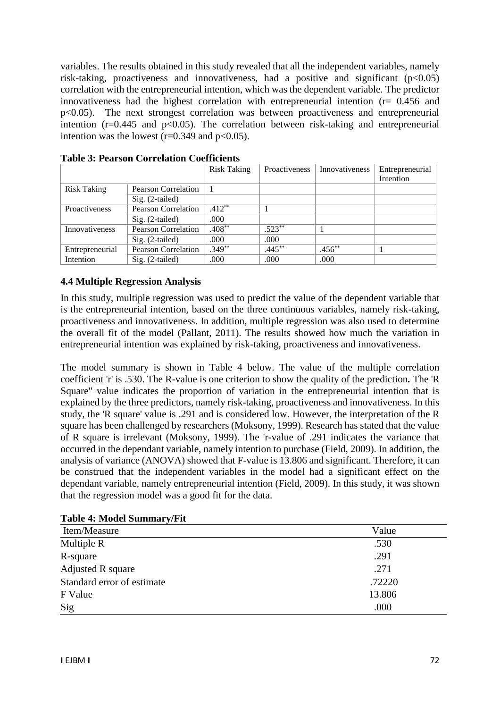variables. The results obtained in this study revealed that all the independent variables, namely risk-taking, proactiveness and innovativeness, had a positive and significant  $(p<0.05)$ correlation with the entrepreneurial intention, which was the dependent variable. The predictor innovativeness had the highest correlation with entrepreneurial intention  $(r= 0.456$  and p<0.05). The next strongest correlation was between proactiveness and entrepreneurial intention ( $r=0.445$  and  $p<0.05$ ). The correlation between risk-taking and entrepreneurial intention was the lowest ( $r=0.349$  and  $p<0.05$ ).

|                    |                            | <b>Risk Taking</b> | Proactiveness | Innovativeness | Entrepreneurial |
|--------------------|----------------------------|--------------------|---------------|----------------|-----------------|
|                    |                            |                    |               |                | Intention       |
| <b>Risk Taking</b> | Pearson Correlation        |                    |               |                |                 |
|                    | $Sig. (2-tailed)$          |                    |               |                |                 |
| Proactiveness      | <b>Pearson Correlation</b> | $.412**$           |               |                |                 |
|                    | $Sig. (2-tailed)$          | .000               |               |                |                 |
| Innovativeness     | <b>Pearson Correlation</b> | $.408***$          | $.523**$      |                |                 |
|                    | $Sig. (2-tailed)$          | .000               | .000          |                |                 |
| Entrepreneurial    | <b>Pearson Correlation</b> | $.349**$           | $.445***$     | $.456***$      |                 |
| Intention          | $Sig. (2-tailed)$          | .000               | .000          | .000           |                 |

**Table 3: Pearson Correlation Coefficients** 

#### **4.4 Multiple Regression Analysis**

In this study, multiple regression was used to predict the value of the dependent variable that is the entrepreneurial intention, based on the three continuous variables, namely risk-taking, proactiveness and innovativeness. In addition, multiple regression was also used to determine the overall fit of the model (Pallant, 2011). The results showed how much the variation in entrepreneurial intention was explained by risk-taking, proactiveness and innovativeness.

The model summary is shown in Table 4 below. The value of the multiple correlation coefficient 'r' is .530. The R-value is one criterion to show the quality of the prediction*.* The 'R Square" value indicates the proportion of variation in the entrepreneurial intention that is explained by the three predictors, namely risk-taking, proactiveness and innovativeness. In this study, the 'R square' value is .291 and is considered low. However, the interpretation of the R square has been challenged by researchers (Moksony, 1999). Research has stated that the value of R square is irrelevant (Moksony, 1999). The 'r-value of .291 indicates the variance that occurred in the dependant variable, namely intention to purchase (Field, 2009). In addition, the analysis of variance (ANOVA) showed that F-value is 13.806 and significant. Therefore, it can be construed that the independent variables in the model had a significant effect on the dependant variable, namely entrepreneurial intention (Field, 2009). In this study, it was shown that the regression model was a good fit for the data.

| Item/Measure               | Value  |
|----------------------------|--------|
| Multiple R                 | .530   |
| R-square                   | .291   |
| Adjusted R square          | .271   |
| Standard error of estimate | .72220 |
| F Value                    | 13.806 |
| Sig                        | .000   |

**Table 4: Model Summary/Fit**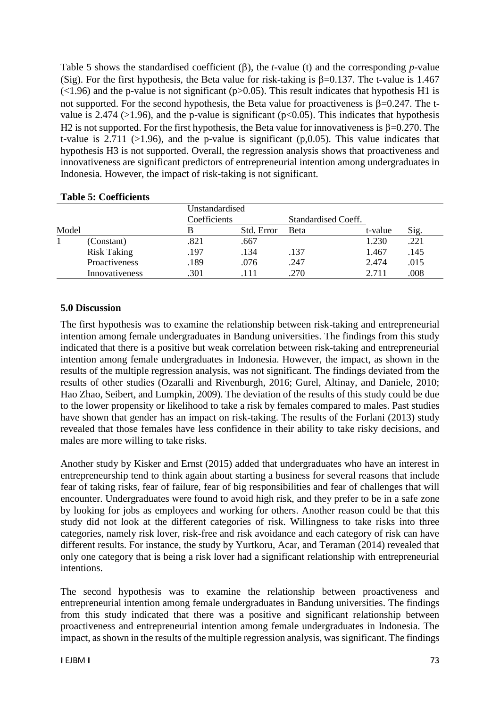Table 5 shows the standardised coefficient  $(\beta)$ , the *t*-value (t) and the corresponding *p*-value (Sig). For the first hypothesis, the Beta value for risk-taking is  $\beta$ =0.137. The t-value is 1.467  $(\leq 1.96)$  and the p-value is not significant (p $> 0.05$ ). This result indicates that hypothesis H1 is not supported. For the second hypothesis, the Beta value for proactiveness is  $\beta$ =0.247. The tvalue is 2.474 ( $>1.96$ ), and the p-value is significant ( $p<0.05$ ). This indicates that hypothesis H2 is not supported. For the first hypothesis, the Beta value for innovativeness is  $\beta$ =0.270. The t-value is 2.711 ( $>1.96$ ), and the p-value is significant (p,0.05). This value indicates that hypothesis H3 is not supported. Overall, the regression analysis shows that proactiveness and innovativeness are significant predictors of entrepreneurial intention among undergraduates in Indonesia. However, the impact of risk-taking is not significant.

|       |                    | Unstandardised |            |                     |         |      |
|-------|--------------------|----------------|------------|---------------------|---------|------|
|       |                    | Coefficients   |            | Standardised Coeff. |         |      |
| Model |                    |                | Std. Error | <b>Beta</b>         | t-value | Sig. |
|       | (Constant)         | .821           | .667       |                     | 1.230   | .221 |
|       | <b>Risk Taking</b> | .197           | .134       | .137                | 1.467   | .145 |
|       | Proactiveness      | .189           | .076       | .247                | 2.474   | .015 |
|       | Innovativeness     | .301           |            | .270                | 2.711   | 008  |

#### **Table 5: Coefficients**

#### **5.0 Discussion**

The first hypothesis was to examine the relationship between risk-taking and entrepreneurial intention among female undergraduates in Bandung universities. The findings from this study indicated that there is a positive but weak correlation between risk-taking and entrepreneurial intention among female undergraduates in Indonesia. However, the impact, as shown in the results of the multiple regression analysis, was not significant. The findings deviated from the results of other studies (Ozaralli and Rivenburgh, 2016; Gurel, Altinay, and Daniele, 2010; Hao Zhao, Seibert, and Lumpkin, 2009). The deviation of the results of this study could be due to the lower propensity or likelihood to take a risk by females compared to males. Past studies have shown that gender has an impact on risk-taking. The results of the Forlani (2013) study revealed that those females have less confidence in their ability to take risky decisions, and males are more willing to take risks.

Another study by Kisker and Ernst (2015) added that undergraduates who have an interest in entrepreneurship tend to think again about starting a business for several reasons that include fear of taking risks, fear of failure, fear of big responsibilities and fear of challenges that will encounter. Undergraduates were found to avoid high risk, and they prefer to be in a safe zone by looking for jobs as employees and working for others. Another reason could be that this study did not look at the different categories of risk. Willingness to take risks into three categories, namely risk lover, risk-free and risk avoidance and each category of risk can have different results. For instance, the study by Yurtkoru, Acar, and Teraman (2014) revealed that only one category that is being a risk lover had a significant relationship with entrepreneurial intentions.

The second hypothesis was to examine the relationship between proactiveness and entrepreneurial intention among female undergraduates in Bandung universities. The findings from this study indicated that there was a positive and significant relationship between proactiveness and entrepreneurial intention among female undergraduates in Indonesia. The impact, as shown in the results of the multiple regression analysis, was significant. The findings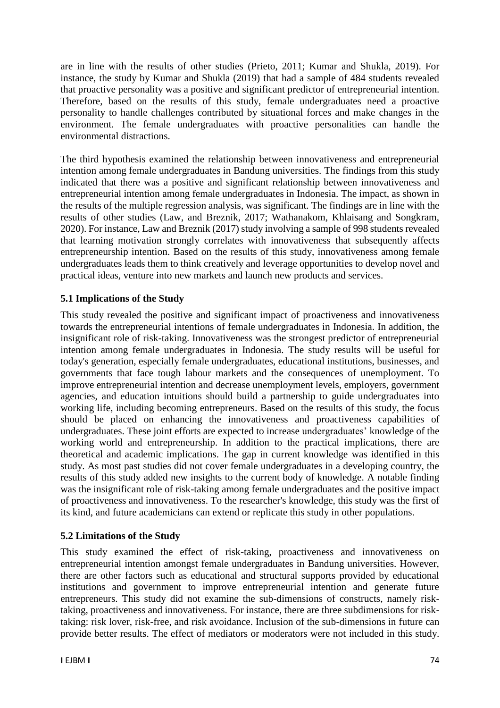are in line with the results of other studies (Prieto, 2011; Kumar and Shukla, 2019). For instance, the study by Kumar and Shukla (2019) that had a sample of 484 students revealed that proactive personality was a positive and significant predictor of entrepreneurial intention. Therefore, based on the results of this study, female undergraduates need a proactive personality to handle challenges contributed by situational forces and make changes in the environment. The female undergraduates with proactive personalities can handle the environmental distractions.

The third hypothesis examined the relationship between innovativeness and entrepreneurial intention among female undergraduates in Bandung universities. The findings from this study indicated that there was a positive and significant relationship between innovativeness and entrepreneurial intention among female undergraduates in Indonesia. The impact, as shown in the results of the multiple regression analysis, was significant. The findings are in line with the results of other studies (Law, and Breznik, 2017; Wathanakom, Khlaisang and Songkram, 2020). For instance, Law and Breznik (2017) study involving a sample of 998 students revealed that learning motivation strongly correlates with innovativeness that subsequently affects entrepreneurship intention. Based on the results of this study, innovativeness among female undergraduates leads them to think creatively and leverage opportunities to develop novel and practical ideas, venture into new markets and launch new products and services.

# **5.1 Implications of the Study**

This study revealed the positive and significant impact of proactiveness and innovativeness towards the entrepreneurial intentions of female undergraduates in Indonesia. In addition, the insignificant role of risk-taking. Innovativeness was the strongest predictor of entrepreneurial intention among female undergraduates in Indonesia. The study results will be useful for today's generation, especially female undergraduates, educational institutions, businesses, and governments that face tough labour markets and the consequences of unemployment. To improve entrepreneurial intention and decrease unemployment levels, employers, government agencies, and education intuitions should build a partnership to guide undergraduates into working life, including becoming entrepreneurs. Based on the results of this study, the focus should be placed on enhancing the innovativeness and proactiveness capabilities of undergraduates. These joint efforts are expected to increase undergraduates' knowledge of the working world and entrepreneurship. In addition to the practical implications, there are theoretical and academic implications. The gap in current knowledge was identified in this study. As most past studies did not cover female undergraduates in a developing country, the results of this study added new insights to the current body of knowledge. A notable finding was the insignificant role of risk-taking among female undergraduates and the positive impact of proactiveness and innovativeness. To the researcher's knowledge, this study was the first of its kind, and future academicians can extend or replicate this study in other populations.

# **5.2 Limitations of the Study**

This study examined the effect of risk-taking, proactiveness and innovativeness on entrepreneurial intention amongst female undergraduates in Bandung universities. However, there are other factors such as educational and structural supports provided by educational institutions and government to improve entrepreneurial intention and generate future entrepreneurs. This study did not examine the sub-dimensions of constructs, namely risktaking, proactiveness and innovativeness. For instance, there are three subdimensions for risktaking: risk lover, risk-free, and risk avoidance. Inclusion of the sub-dimensions in future can provide better results. The effect of mediators or moderators were not included in this study.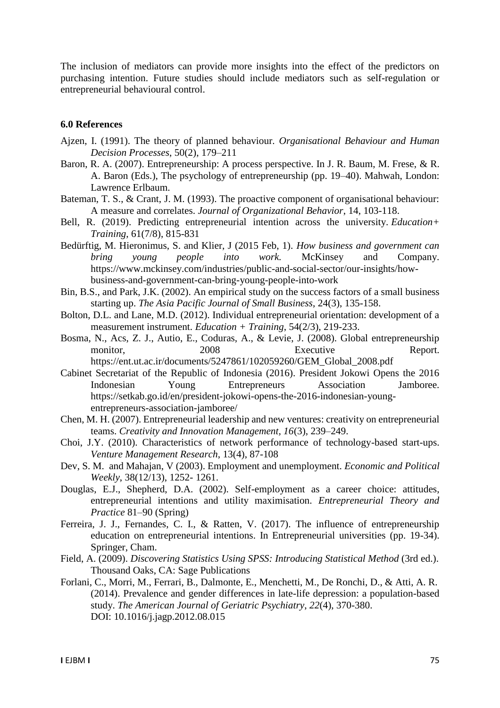The inclusion of mediators can provide more insights into the effect of the predictors on purchasing intention. Future studies should include mediators such as self-regulation or entrepreneurial behavioural control.

#### **6.0 References**

- Ajzen, I. (1991). The theory of planned behaviour. *Organisational Behaviour and Human Decision Processes*, 50(2), 179–211
- Baron, R. A. (2007). Entrepreneurship: A process perspective. In J. R. Baum, M. Frese, & R. A. Baron (Eds.), The psychology of entrepreneurship (pp. 19–40). Mahwah, London: Lawrence Erlbaum.
- Bateman, T. S., & Crant, J. M. (1993). The proactive component of organisational behaviour: A measure and correlates. *Journal of Organizational Behavior*, 14, 103-118.
- Bell, R. (2019). Predicting entrepreneurial intention across the university. *Education+ Training*, 61(7/8), 815-831
- Bedürftig, M. Hieronimus, S. and Klier, J (2015 Feb, 1). *How business and government can bring young people into work.* McKinsey and Company. https://www.mckinsey.com/industries/public-and-social-sector/our-insights/howbusiness-and-government-can-bring-young-people-into-work
- Bin, B.S., and Park, J.K. (2002). An empirical study on the success factors of a small business starting up. *The Asia Pacific Journal of Small Business*, 24(3), 135-158.
- Bolton, D.L. and Lane, M.D. (2012). Individual entrepreneurial orientation: development of a measurement instrument. *Education + Training*, 54(2/3), 219-233.
- Bosma, N., Acs, Z. J., Autio, E., Coduras, A., & Levie, J. (2008). Global entrepreneurship monitor, 2008 Executive Report. https://ent.ut.ac.ir/documents/5247861/102059260/GEM\_Global\_2008.pdf
- Cabinet Secretariat of the Republic of Indonesia (2016). President Jokowi Opens the 2016 Indonesian Young Entrepreneurs Association Jamboree. https://setkab.go.id/en/president-jokowi-opens-the-2016-indonesian-youngentrepreneurs-association-jamboree/
- Chen, M. H. (2007). Entrepreneurial leadership and new ventures: creativity on entrepreneurial teams. *Creativity and Innovation Management, 16*(3), 239–249.
- Choi, J.Y. (2010). Characteristics of network performance of technology-based start-ups. *Venture Management Research*, 13(4), 87-108
- Dev, S. M. and Mahajan, V (2003). Employment and unemployment. *Economic and Political Weekly*, 38(12/13), 1252- 1261.
- Douglas, E.J., Shepherd, D.A. (2002). Self-employment as a career choice: attitudes, entrepreneurial intentions and utility maximisation. *Entrepreneurial Theory and Practice* 81–90 (Spring)
- Ferreira, J. J., Fernandes, C. I., & Ratten, V. (2017). The influence of entrepreneurship education on entrepreneurial intentions. In Entrepreneurial universities (pp. 19-34). Springer, Cham.
- Field, A. (2009). *Discovering Statistics Using SPSS: Introducing Statistical Method* (3rd ed.). Thousand Oaks, CA: Sage Publications
- Forlani, C., Morri, M., Ferrari, B., Dalmonte, E., Menchetti, M., De Ronchi, D., & Atti, A. R. (2014). Prevalence and gender differences in late-life depression: a population-based study. *The American Journal of Geriatric Psychiatry*, *22*(4), 370-380. DOI: 10.1016/j.jagp.2012.08.015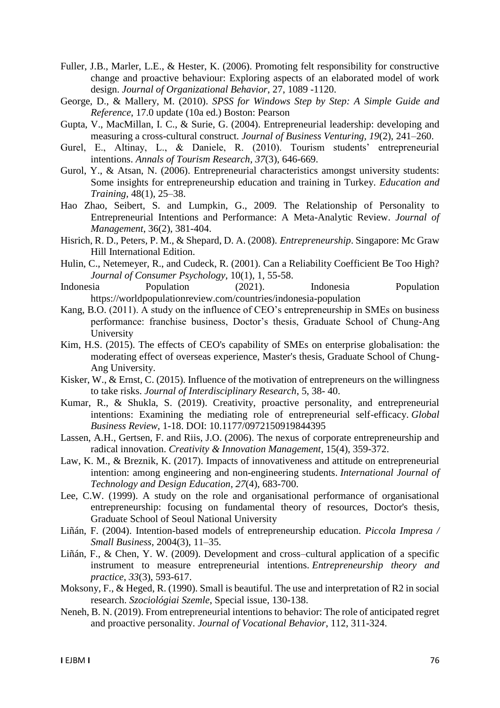- Fuller, J.B., Marler, L.E., & Hester, K. (2006). Promoting felt responsibility for constructive change and proactive behaviour: Exploring aspects of an elaborated model of work design. *Journal of Organizational Behavior*, 27, 1089 -1120.
- George, D., & Mallery, M. (2010). *SPSS for Windows Step by Step: A Simple Guide and Reference*, 17.0 update (10a ed.) Boston: Pearson
- Gupta, V., MacMillan, I. C., & Surie, G. (2004). Entrepreneurial leadership: developing and measuring a cross-cultural construct. *Journal of Business Venturing, 19*(2), 241–260.
- Gurel, E., Altinay, L., & Daniele, R. (2010). Tourism students' entrepreneurial intentions. *Annals of Tourism Research*, *37*(3), 646-669.
- Gurol, Y., & Atsan, N. (2006). Entrepreneurial characteristics amongst university students: Some insights for entrepreneurship education and training in Turkey. *Education and Training,* 48(1), 25–38.
- Hao Zhao, Seibert, S. and Lumpkin, G., 2009. The Relationship of Personality to Entrepreneurial Intentions and Performance: A Meta-Analytic Review. *Journal of Management*, 36(2), 381-404.
- Hisrich, R. D., Peters, P. M., & Shepard, D. A. (2008). *Entrepreneurship*. Singapore: Mc Graw Hill International Edition.
- Hulin, C., Netemeyer, R., and Cudeck, R. (2001). Can a Reliability Coefficient Be Too High? *Journal of Consumer Psychology*, 10(1), 1, 55-58.
- Indonesia Population (2021). Indonesia Population https://worldpopulationreview.com/countries/indonesia-population
- Kang, B.O. (2011). A study on the influence of CEO's entrepreneurship in SMEs on business performance: franchise business, Doctor's thesis, Graduate School of Chung-Ang University
- Kim, H.S. (2015). The effects of CEO's capability of SMEs on enterprise globalisation: the moderating effect of overseas experience, Master's thesis, Graduate School of Chung-Ang University.
- Kisker, W., & Ernst, C. (2015). Influence of the motivation of entrepreneurs on the willingness to take risks. *Journal of Interdisciplinary Research*, 5, 38- 40.
- Kumar, R., & Shukla, S. (2019). Creativity, proactive personality, and entrepreneurial intentions: Examining the mediating role of entrepreneurial self-efficacy. *Global Business Review*, 1-18. DOI: 10.1177/0972150919844395
- Lassen, A.H., Gertsen, F. and Riis, J.O. (2006). The nexus of corporate entrepreneurship and radical innovation. *Creativity & Innovation Management*, 15(4), 359-372.
- Law, K. M., & Breznik, K. (2017). Impacts of innovativeness and attitude on entrepreneurial intention: among engineering and non-engineering students. *International Journal of Technology and Design Education*, *27*(4), 683-700.
- Lee, C.W. (1999). A study on the role and organisational performance of organisational entrepreneurship: focusing on fundamental theory of resources, Doctor's thesis, Graduate School of Seoul National University
- Liñán, F. (2004). Intention-based models of entrepreneurship education. *Piccola Impresa / Small Business*, 2004(3), 11–35.
- Liñán, F., & Chen, Y. W. (2009). Development and cross–cultural application of a specific instrument to measure entrepreneurial intentions. *Entrepreneurship theory and practice*, *33*(3), 593-617.
- Moksony, F., & Heged, R. (1990). Small is beautiful. The use and interpretation of R2 in social research. *Szociológiai Szemle*, Special issue, 130-138.
- Neneh, B. N. (2019). From entrepreneurial intentions to behavior: The role of anticipated regret and proactive personality. *Journal of Vocational Behavior*, 112, 311-324.